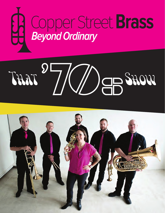

## THAT  $7/$ WORE